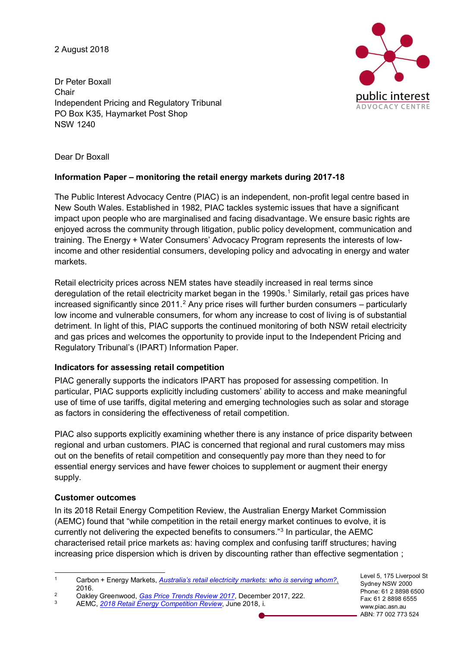2 August 2018

Dr Peter Boxall Chair Independent Pricing and Regulatory Tribunal PO Box K35, Haymarket Post Shop NSW 1240



Dear Dr Boxall

## **Information Paper – monitoring the retail energy markets during 2017-18**

The Public Interest Advocacy Centre (PIAC) is an independent, non-profit legal centre based in New South Wales. Established in 1982, PIAC tackles systemic issues that have a significant impact upon people who are marginalised and facing disadvantage. We ensure basic rights are enjoyed across the community through litigation, public policy development, communication and training. The Energy + Water Consumers' Advocacy Program represents the interests of lowincome and other residential consumers, developing policy and advocating in energy and water markets.

Retail electricity prices across NEM states have steadily increased in real terms since deregulation of the retail electricity market began in the 1990s.<sup>1</sup> Similarly, retail gas prices have increased significantly since  $2011<sup>2</sup>$  Any price rises will further burden consumers – particularly low income and vulnerable consumers, for whom any increase to cost of living is of substantial detriment. In light of this, PIAC supports the continued monitoring of both NSW retail electricity and gas prices and welcomes the opportunity to provide input to the Independent Pricing and Regulatory Tribunal's (IPART) Information Paper.

## **Indicators for assessing retail competition**

PIAC generally supports the indicators IPART has proposed for assessing competition. In particular, PIAC supports explicitly including customers' ability to access and make meaningful use of time of use tariffs, digital metering and emerging technologies such as solar and storage as factors in considering the effectiveness of retail competition.

PIAC also supports explicitly examining whether there is any instance of price disparity between regional and urban customers. PIAC is concerned that regional and rural customers may miss out on the benefits of retail competition and consequently pay more than they need to for essential energy services and have fewer choices to supplement or augment their energy supply.

# **Customer outcomes**

In its 2018 Retail Energy Competition Review, the Australian Energy Market Commission (AEMC) found that "while competition in the retail energy market continues to evolve, it is currently not delivering the expected benefits to consumers."<sup>3</sup> In particular, the AEMC characterised retail price markets as: having complex and confusing tariff structures; having increasing price dispersion which is driven by discounting rather than effective segmentation ;

Level 5, 175 Liverpool St Sydney NSW 2000 Phone: 61 2 8898 6500 Fax: 61 2 8898 6555 www.piac.asn.au ABN: 77 002 773 524

 <sup>1</sup> Carbon + Energy Markets, *[Australia's retail electricity markets: who is serving whom?](https://www.smh.com.au/cqstatic/gqt0m0/bmretailreport.pdf)*, 2016.

<sup>&</sup>lt;sup>2</sup> Oakley Greenwood, *[Gas Price Trends Review 2017](https://www.energy.gov.au/sites/g/files/net3411/f/gas_price_trends_review_2017.pdf)*, December 2017, 222.<br><sup>3</sup> AEMC 2018 Retail Energy Competition Review, June 2018 i

<sup>3</sup> AEMC, *[2018 Retail Energy Competition Review](https://www.datocms-assets.com/5684/1528864055-2018-retail-energy-competition-reviewfinal15junepublished.pdf)*, June 2018, i.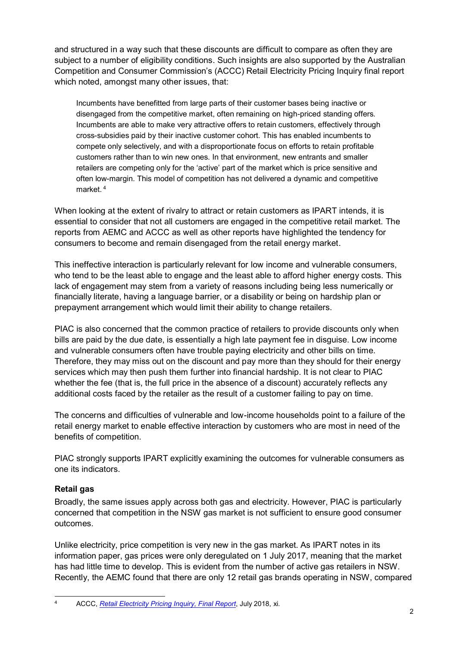and structured in a way such that these discounts are difficult to compare as often they are subject to a number of eligibility conditions. Such insights are also supported by the Australian Competition and Consumer Commission's (ACCC) Retail Electricity Pricing Inquiry final report which noted, amongst many other issues, that:

Incumbents have benefitted from large parts of their customer bases being inactive or disengaged from the competitive market, often remaining on high-priced standing offers. Incumbents are able to make very attractive offers to retain customers, effectively through cross-subsidies paid by their inactive customer cohort. This has enabled incumbents to compete only selectively, and with a disproportionate focus on efforts to retain profitable customers rather than to win new ones. In that environment, new entrants and smaller retailers are competing only for the 'active' part of the market which is price sensitive and often low-margin. This model of competition has not delivered a dynamic and competitive market. <sup>4</sup>

When looking at the extent of rivalry to attract or retain customers as IPART intends, it is essential to consider that not all customers are engaged in the competitive retail market. The reports from AEMC and ACCC as well as other reports have highlighted the tendency for consumers to become and remain disengaged from the retail energy market.

This ineffective interaction is particularly relevant for low income and vulnerable consumers, who tend to be the least able to engage and the least able to afford higher energy costs. This lack of engagement may stem from a variety of reasons including being less numerically or financially literate, having a language barrier, or a disability or being on hardship plan or prepayment arrangement which would limit their ability to change retailers.

PIAC is also concerned that the common practice of retailers to provide discounts only when bills are paid by the due date, is essentially a high late payment fee in disguise. Low income and vulnerable consumers often have trouble paying electricity and other bills on time. Therefore, they may miss out on the discount and pay more than they should for their energy services which may then push them further into financial hardship. It is not clear to PIAC whether the fee (that is, the full price in the absence of a discount) accurately reflects any additional costs faced by the retailer as the result of a customer failing to pay on time.

The concerns and difficulties of vulnerable and low-income households point to a failure of the retail energy market to enable effective interaction by customers who are most in need of the benefits of competition.

PIAC strongly supports IPART explicitly examining the outcomes for vulnerable consumers as one its indicators.

### **Retail gas**

Broadly, the same issues apply across both gas and electricity. However, PIAC is particularly concerned that competition in the NSW gas market is not sufficient to ensure good consumer outcomes.

Unlike electricity, price competition is very new in the gas market. As IPART notes in its information paper, gas prices were only deregulated on 1 July 2017, meaning that the market has had little time to develop. This is evident from the number of active gas retailers in NSW. Recently, the AEMC found that there are only 12 retail gas brands operating in NSW, compared

 <sup>4</sup> ACCC, *[Retail Electricity Pricing Inquiry, Final Report](https://www.accc.gov.au/publications/restoring-electricity-affordability-australias-competitive-advantage)*, July 2018, xi.